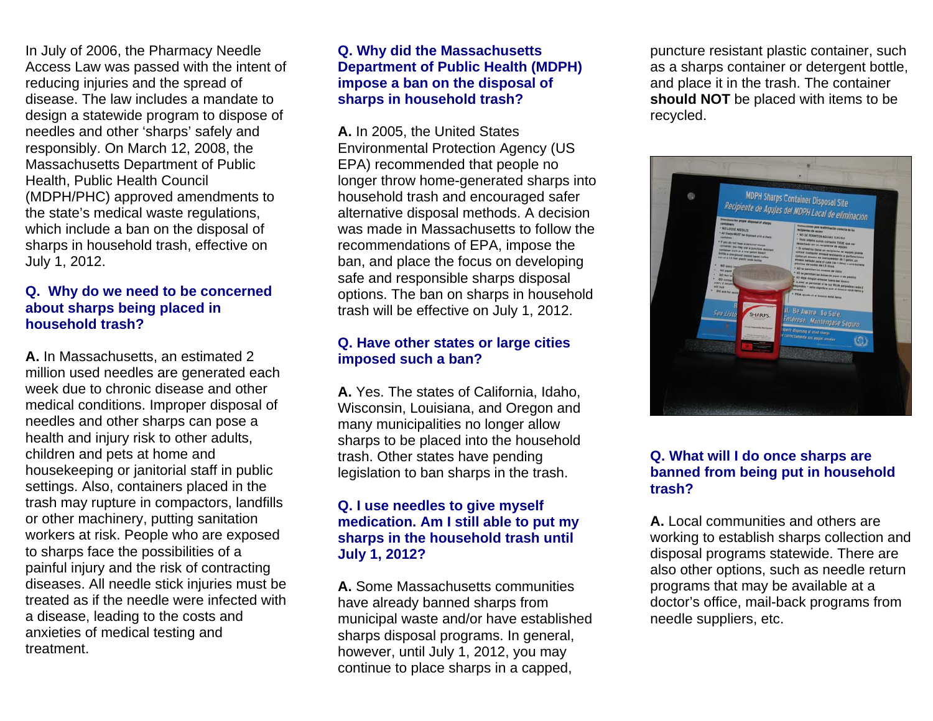In July of 2006, the Pharmacy Needle Access Law was passed with the intent of reducing injuries and the spread of disease. The law includes a mandate to design a statewide program to dispose of needles and other 'sharps' safely and responsibly. On March 12, 2008, the Massachusetts Department of Public Health, Public Health Council (MDPH/PHC) approved amendments to the state's medical waste regulations, which include a ban on the disposal of sharps in household trash, effective on July 1, 2012.

## **Q. Why do we need to be concerned about sharps being placed in household trash?**

**A.** In Massachusetts, an estimated 2 million used needles are generated each week due to chronic disease and other medical conditions. Improper disposal of needles and other sharps can pose a health and injury risk to other adults, children and pets at home and housekeeping or janitorial staff in public settings. Also, containers placed in the trash may rupture in compactors, landfills or other machinery, putting sanitation workers at risk. People who are exposed to sharps face the possibilities of a painful injury and the risk of contracting diseases. All needle stick injuries must be treated as if the needle were infected with a disease, leading to the costs and anxieties of medical testing and treatment.

# **Q. Why did the Massachusetts Department of Public Health (MDPH) impose a ban on the disposal of sharps in household trash?**

**A.** In 2005, the United States Environmental Protection Agency (US EPA) recommended that people no longer throw home-generated sharps into household trash and encouraged safer alternative disposal methods. A decision was made in Massachusetts to follow the recommendations of EPA, impose the ban, and place the focus on developing safe and responsible sharps disposal options. The ban on sharps in household trash will be effective on July 1, 2012.

# **Q. Have other states or large cities imposed such a ban?**

**A.** Yes. The states of California, Idaho, Wisconsin, Louisiana, and Oregon and many municipalities no longer allow sharps to be placed into the household trash. Other states have pending legislation to ban sharps in the trash.

# **Q. I use needles to give myself medication. Am I still able to put my sharps in the household trash until July 1, 2012?**

**A.** Some Massachusetts communities have already banned sharps from municipal waste and/or have established sharps disposal programs. In general, however, until July 1, 2012, you may continue to place sharps in a capped,

puncture resistant plastic container, such as a sharps container or detergent bottle, and place it in the trash. The container **should NOT** be placed with items to be recycled.



# **Q. What will I do once sharps are banned from being put in household trash?**

**A.** Local communities and others are working to establish sharps collection and disposal programs statewide. There are also other options, such as needle return programs that may be available at a doctor's office, mail-back programs from needle suppliers, etc.